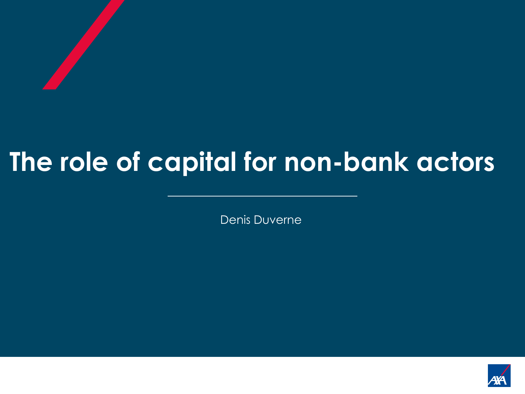# **The role of capital for non-bank actors**

Denis Duverne

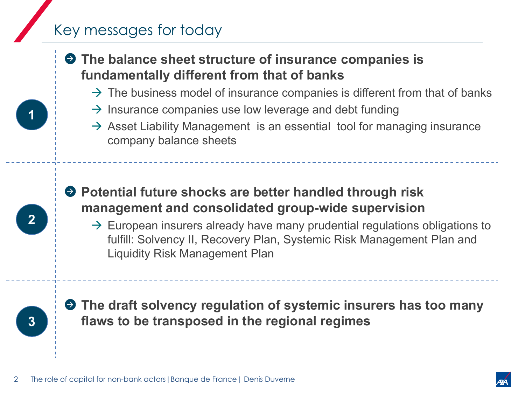## Key messages for today

## **The balance sheet structure of insurance companies is fundamentally different from that of banks**

- $\rightarrow$  The business model of insurance companies is different from that of banks
- $\rightarrow$  Insurance companies use low leverage and debt funding
- $\rightarrow$  Asset Liability Management is an essential tool for managing insurance company balance sheets

## **P** Potential future shocks are better handled through risk **management and consolidated group-wide supervision**

 $\rightarrow$  European insurers already have many prudential regulations obligations to fulfill: Solvency II, Recovery Plan, Systemic Risk Management Plan and Liquidity Risk Management Plan



**2** 

**The draft solvency regulation of systemic insurers has too many flaws to be transposed in the regional regimes**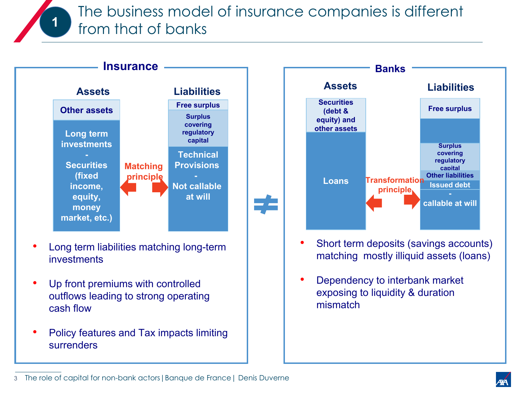The business model of insurance companies is different from that of banks



**1**

- Long term liabilities matching long-term investments
- Up front premiums with controlled outflows leading to strong operating cash flow
- Policy features and Tax impacts limiting surrenders



- Short term deposits (savings accounts) matching mostly illiquid assets (loans)
- Dependency to interbank market exposing to liquidity & duration mismatch

The role of capital for non-bank actors|Banque de France| Denis Duverne 3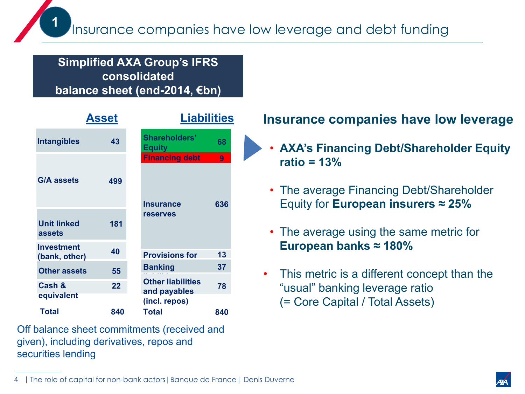#### **Simplified AXA Group's IFRS consolidated balance sheet (end-2014, €bn)**

| <b>Asset</b>                       |     | <b>Liabilities</b>                                           |          |  |
|------------------------------------|-----|--------------------------------------------------------------|----------|--|
| <b>Intangibles</b>                 | 43  | <b>Shareholders'</b><br><b>Equity</b>                        | 68       |  |
| <b>G/A assets</b>                  | 499 | <b>Financing debt</b><br><b>Insurance</b><br><b>reserves</b> | 9<br>636 |  |
| <b>Unit linked</b><br>assets       | 181 |                                                              |          |  |
| <b>Investment</b><br>(bank, other) | 40  | <b>Provisions for</b>                                        | 13       |  |
| <b>Other assets</b>                | 55  | <b>Banking</b>                                               | 37       |  |
| Cash &<br>equivalent               | 22  | <b>Other liabilities</b><br>and payables<br>(incl. repos)    | 78       |  |
| <b>Total</b>                       | 840 | <b>Total</b>                                                 | 840      |  |

Off balance sheet commitments (received and given), including derivatives, repos and securities lending

### **Insurance companies have low leverage**

- **AXA's Financing Debt/Shareholder Equity ratio = 13%**
- The average Financing Debt/Shareholder Equity for **European insurers ≈ 25%**
- The average using the same metric for **European banks ≈ 180%**
- This metric is a different concept than the "usual" banking leverage ratio (= Core Capital / Total Assets)

<sup>4 |</sup> The role of capital for non-bank actors|Banque de France| Denis Duverne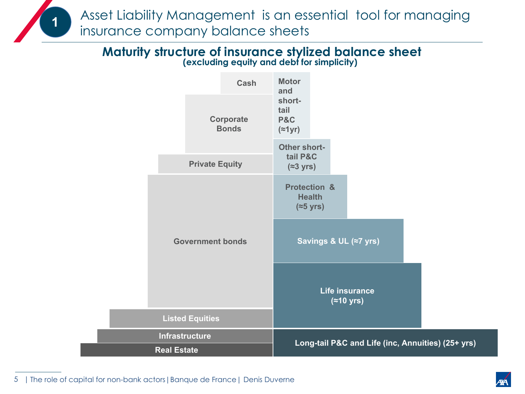Asset Liability Management is an essential tool for managing insurance company balance sheets

#### **Maturity structure of insurance stylized balance sheet (excluding equity and debt for simplicity)**



<sup>5 |</sup> The role of capital for non-bank actors|Banque de France| Denis Duverne

**1**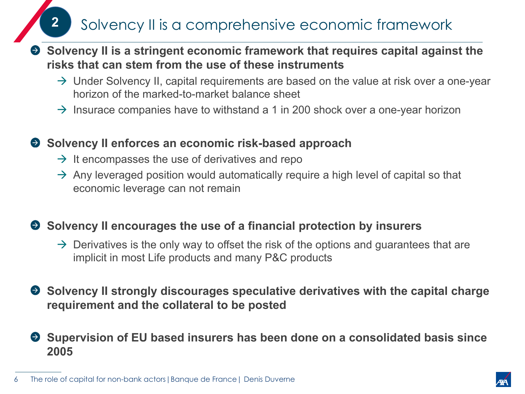**2** Solvency II is a comprehensive economic framework

- **Solvency II is a stringent economic framework that requires capital against the risks that can stem from the use of these instruments** 
	- $\rightarrow$  Under Solvency II, capital requirements are based on the value at risk over a one-year horizon of the marked-to-market balance sheet
	- $\rightarrow$  Insurace companies have to withstand a 1 in 200 shock over a one-year horizon

#### **Solvency II enforces an economic risk-based approach**

- $\rightarrow$  It encompasses the use of derivatives and repo
- $\rightarrow$  Any leveraged position would automatically require a high level of capital so that economic leverage can not remain

#### **● Solvency II encourages the use of a financial protection by insurers**

- $\rightarrow$  Derivatives is the only way to offset the risk of the options and guarantees that are implicit in most Life products and many P&C products
- ◆ Solvency II strongly discourages speculative derivatives with the capital charge **requirement and the collateral to be posted**
- **Supervision of EU based insurers has been done on a consolidated basis since 2005**

The role of capital for non-bank actors | Banque de France | Denis Duverne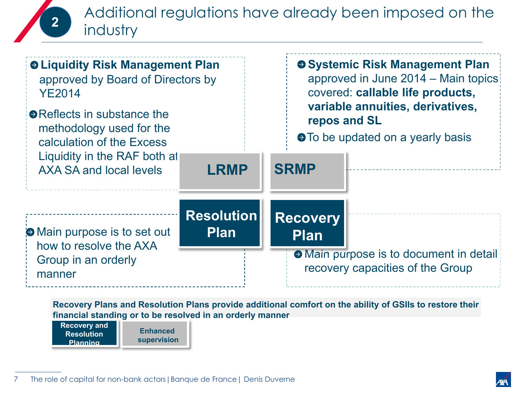## Additional regulations have already been imposed on the industry



**Recovery Plans and Resolution Plans provide additional comfort on the ability of GSIIs to restore their financial standing or to be resolved in an orderly manner**

**Recovery and Resolution Planning**

**2** 

**Enhanced supervision**